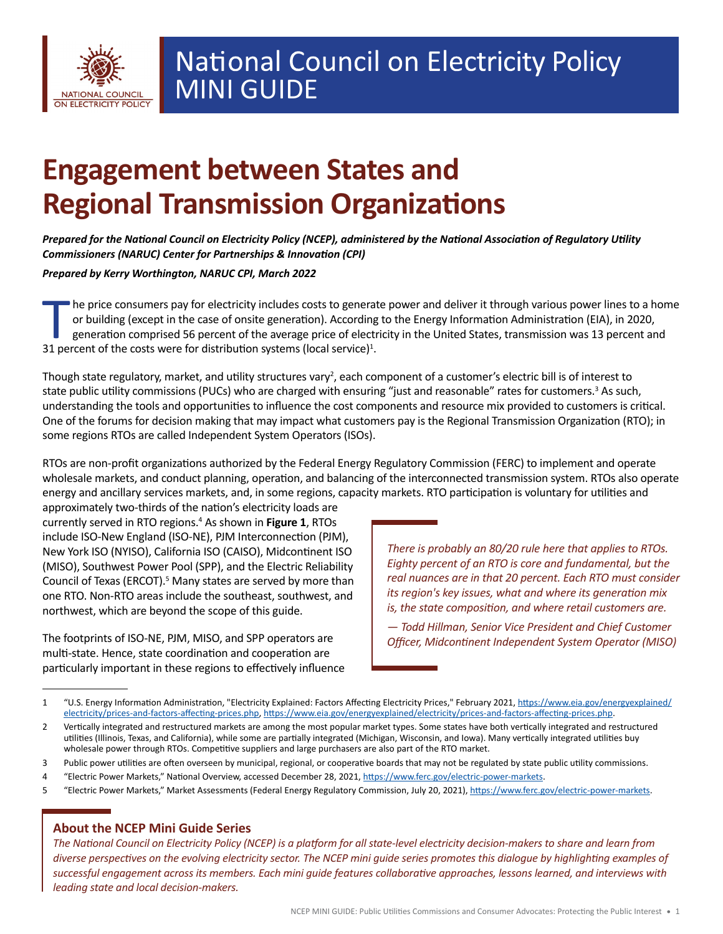

# **Engagement between States and Regional Transmission Organizations**

*Prepared for the National Council on Electricity Policy (NCEP), administered by the National Association of Regulatory Utility Commissioners (NARUC) Center for Partnerships & Innovation (CPI)*

*Prepared by Kerry Worthington, NARUC CPI, March 2022*

Ine price consumers pay for electricity includes costs to generate power and deliver it through various power lines to a home or building (except in the case of onsite generation). According to the Energy Information Administration (EIA), in 2020, generation comprised 56 percent of the average price of electricity in the United States, transmission was 13 percent and 31 percent of the costs were for distribution systems (local service) $1$ .

Though state regulatory, market, and utility structures vary<sup>2</sup>, each component of a customer's electric bill is of interest to state public utility commissions (PUCs) who are charged with ensuring "just and reasonable" rates for customers.<sup>3</sup> As such, understanding the tools and opportunities to influence the cost components and resource mix provided to customers is critical. One of the forums for decision making that may impact what customers pay is the Regional Transmission Organization (RTO); in some regions RTOs are called Independent System Operators (ISOs).

RTOs are non-profit organizations authorized by the Federal Energy Regulatory Commission (FERC) to implement and operate wholesale markets, and conduct planning, operation, and balancing of the interconnected transmission system. RTOs also operate energy and ancillary services markets, and, in some regions, capacity markets. RTO participation is voluntary for utilities and

approximately two-thirds of the nation's electricity loads are currently served in RTO regions.<sup>4</sup> As shown in Figure 1, RTOs include ISO-New England (ISO-NE), PJM Interconnection (PJM), New York ISO (NYISO), California ISO (CAISO), Midcontinent ISO (MISO), Southwest Power Pool (SPP), and the Electric Reliability Council of Texas (ERCOT).<sup>5</sup> Many states are served by more than one RTO. Non-RTO areas include the southeast, southwest, and northwest, which are beyond the scope of this guide.

The footprints of ISO-NE, PJM, MISO, and SPP operators are multi-state. Hence, state coordination and cooperation are particularly important in these regions to effectively influence

*There is probably an 80/20 rule here that applies to RTOs. Eighty percent of an RTO is core and fundamental, but the real nuances are in that 20 percent. Each RTO must consider its region's key issues, what and where its generation mix is, the state composition, and where retail customers are.* 

*— Todd Hillman, Senior Vice President and Chief Customer Officer, Midcontinent Independent System Operator (MISO)*

- 4 "Electric Power Markets," National Overview, accessed December 28, 2021, [https://www.ferc.gov/electric-power-markets.](https://www.ferc.gov/electric-power-markets)
- 5 "Electric Power Markets," Market Assessments (Federal Energy Regulatory Commission, July 20, 2021), [https://www.ferc.gov/electric-power-markets.](https://www.ferc.gov/electric-power-markets)

## **About the NCEP Mini Guide Series**

*The National Council on Electricity Policy (NCEP) is a platform for all state-level electricity decision-makers to share and learn from diverse perspectives on the evolving electricity sector. The NCEP mini guide series promotes this dialogue by highlighting examples of successful engagement across its members. Each mini guide features collaborative approaches, lessons learned, and interviews with leading state and local decision-makers.*

<sup>1</sup> "U.S. Energy Information Administration, "Electricity Explained: Factors Affecting Electricity Prices," February 2021, [https://www.eia.gov/energyexplained/](https://www.eia.gov/energyexplained/electricity/prices-and-factors-affecting-prices.php) [electricity/prices-and-factors-affecting-prices.php](https://www.eia.gov/energyexplained/electricity/prices-and-factors-affecting-prices.php),<https://www.eia.gov/energyexplained/electricity/prices-and-factors-affecting-prices.php>.

<sup>2</sup> Vertically integrated and restructured markets are among the most popular market types. Some states have both vertically integrated and restructured utilities (Illinois, Texas, and California), while some are partially integrated (Michigan, Wisconsin, and Iowa). Many vertically integrated utilities buy wholesale power through RTOs. Competitive suppliers and large purchasers are also part of the RTO market.

<sup>3</sup> Public power utilities are often overseen by municipal, regional, or cooperative boards that may not be regulated by state public utility commissions.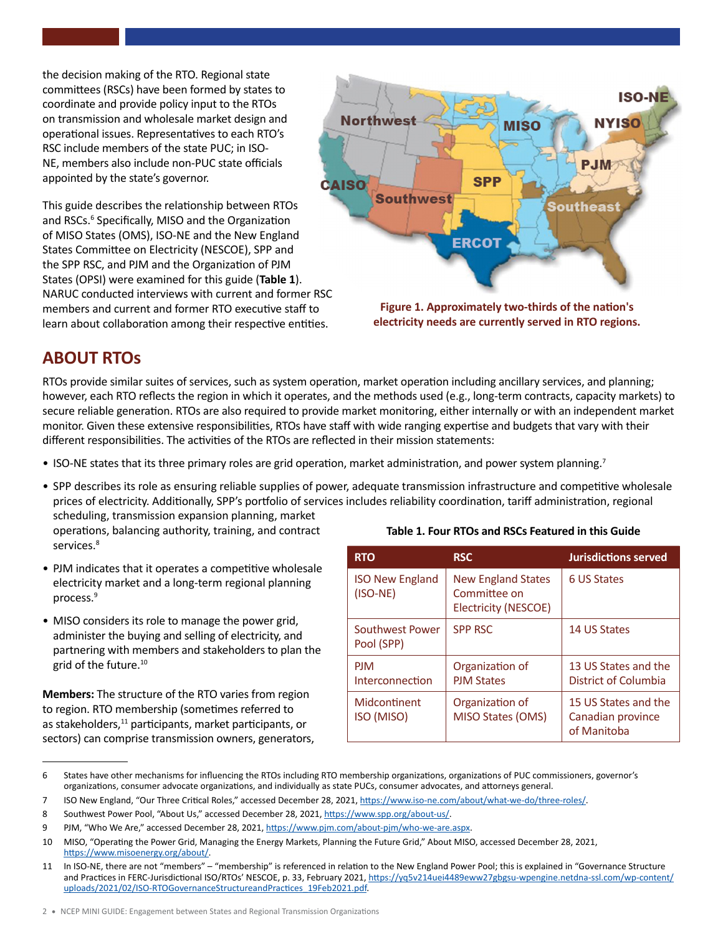the decision making of the RTO. Regional state committees (RSCs) have been formed by states to coordinate and provide policy input to the RTOs on transmission and wholesale market design and operational issues. Representatives to each RTO's RSC include members of the state PUC; in ISO-NE, members also include non-PUC state officials appointed by the state's governor.

This guide describes the relationship between RTOs and RSCs.<sup>6</sup> Specifically, MISO and the Organization of MISO States (OMS), ISO-NE and the New England States Committee on Electricity (NESCOE), SPP and the SPP RSC, and PJM and the Organization of PJM States (OPSI) were examined for this guide (**Table 1**). NARUC conducted interviews with current and former RSC members and current and former RTO executive staff to learn about collaboration among their respective entities.



**Figure 1. Approximately two-thirds of the nation's electricity needs are currently served in RTO regions.**

# **ABOUT RTOs**

services.<sup>8</sup>

RTOs provide similar suites of services, such as system operation, market operation including ancillary services, and planning; however, each RTO reflects the region in which it operates, and the methods used (e.g., long-term contracts, capacity markets) to secure reliable generation. RTOs are also required to provide market monitoring, either internally or with an independent market monitor. Given these extensive responsibilities, RTOs have staff with wide ranging expertise and budgets that vary with their different responsibilities. The activities of the RTOs are reflected in their mission statements:

- ISO-NE states that its three primary roles are grid operation, market administration, and power system planning.<sup>7</sup>
- SPP describes its role as ensuring reliable supplies of power, adequate transmission infrastructure and competitive wholesale prices of electricity. Additionally, SPP's portfolio of services includes reliability coordination, tariff administration, regional scheduling, transmission expansion planning, market operations, balancing authority, training, and contract
- PJM indicates that it operates a competitive wholesale electricity market and a long-term regional planning process.<sup>9</sup>
- MISO considers its role to manage the power grid, administer the buying and selling of electricity, and partnering with members and stakeholders to plan the grid of the future.10

**Members:** The structure of the RTO varies from region to region. RTO membership (sometimes referred to as stakeholders,<sup>11</sup> participants, market participants, or sectors) can comprise transmission owners, generators,

| <b>RTO</b>                           | <b>RSC</b>                                                        | <b>Jurisdictions served</b>                              |
|--------------------------------------|-------------------------------------------------------------------|----------------------------------------------------------|
| <b>ISO New England</b><br>$(ISO-NE)$ | <b>New England States</b><br>Committee on<br>Electricity (NESCOE) | 6 US States                                              |
| Southwest Power<br>Pool (SPP)        | <b>SPP RSC</b>                                                    | 14 US States                                             |
| <b>PIM</b><br>Interconnection        | Organization of<br><b>PJM States</b>                              | 13 US States and the<br>District of Columbia             |
| Midcontinent<br>ISO (MISO)           | Organization of<br>MISO States (OMS)                              | 15 US States and the<br>Canadian province<br>of Manitoba |

#### **Table 1. Four RTOs and RSCs Featured in this Guide**

<sup>6</sup> States have other mechanisms for influencing the RTOs including RTO membership organizations, organizations of PUC commissioners, governor's organizations, consumer advocate organizations, and individually as state PUCs, consumer advocates, and attorneys general.

<sup>7</sup> ISO New England, "Our Three Critical Roles," accessed December 28, 2021,<https://www.iso-ne.com/about/what-we-do/three-roles/>.

<sup>8</sup> Southwest Power Pool, "About Us," accessed December 28, 2021, [https://www.spp.org/about-us/.](https://www.spp.org/about-us/)

<sup>9</sup> PJM, "Who We Are," accessed December 28, 2021,<https://www.pjm.com/about-pjm/who-we-are.aspx>.

<sup>10</sup> MISO, "Operating the Power Grid, Managing the Energy Markets, Planning the Future Grid," About MISO, accessed December 28, 2021, [https://www.misoenergy.org/about/.](https://www.misoenergy.org/about/)

<sup>11</sup> In ISO-NE, there are not "members" – "membership" is referenced in relation to the New England Power Pool; this is explained in "Governance Structure and Practices in FERC-Jurisdictional ISO/RTOs' NESCOE, p. 33, February 2021, [https://yq5v214uei4489eww27gbgsu-wpengine.netdna-ssl.com/wp-content/](https://yq5v214uei4489eww27gbgsu-wpengine.netdna-ssl.com/wp-content/uploads/2021/02/ISO-RTOGovernanceStructureandPractices_19Feb2021.pdf) [uploads/2021/02/ISO-RTOGovernanceStructureandPractices\\_19Feb2021.pdf.](https://yq5v214uei4489eww27gbgsu-wpengine.netdna-ssl.com/wp-content/uploads/2021/02/ISO-RTOGovernanceStructureandPractices_19Feb2021.pdf)

<sup>2</sup> • NCEP MINI GUIDE: Engagement between States and Regional Transmission Organizations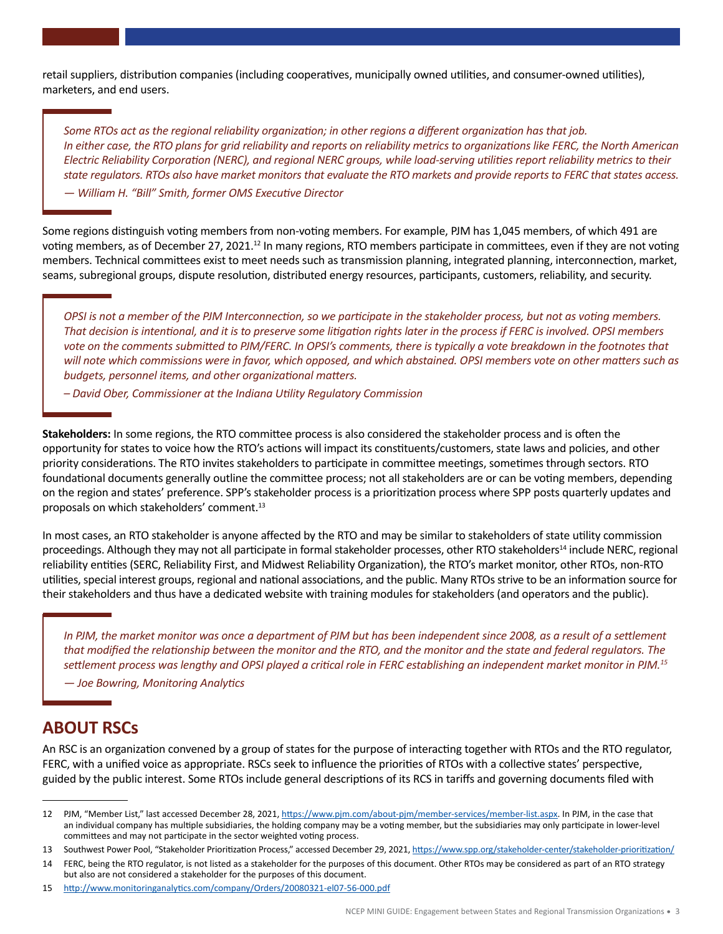retail suppliers, distribution companies (including cooperatives, municipally owned utilities, and consumer-owned utilities), marketers, and end users.

*Some RTOs act as the regional reliability organization; in other regions a different organization has that job. In either case, the RTO plans for grid reliability and reports on reliability metrics to organizations like FERC, the North American Electric Reliability Corporation (NERC), and regional NERC groups, while load-serving utilities report reliability metrics to their state regulators. RTOs also have market monitors that evaluate the RTO markets and provide reports to FERC that states access.*

*— William H. "Bill" Smith, former OMS Executive Director*

Some regions distinguish voting members from non-voting members. For example, PJM has 1,045 members, of which 491 are voting members, as of December 27, 2021.<sup>12</sup> In many regions, RTO members participate in committees, even if they are not voting members. Technical committees exist to meet needs such as transmission planning, integrated planning, interconnection, market, seams, subregional groups, dispute resolution, distributed energy resources, participants, customers, reliability, and security.

*OPSI is not a member of the PJM Interconnection, so we participate in the stakeholder process, but not as voting members. That decision is intentional, and it is to preserve some litigation rights later in the process if FERC is involved. OPSI members vote on the comments submitted to PJM/FERC. In OPSI's comments, there is typically a vote breakdown in the footnotes that will note which commissions were in favor, which opposed, and which abstained. OPSI members vote on other matters such as budgets, personnel items, and other organizational matters.* 

*– David Ober, Commissioner at the Indiana Utility Regulatory Commission*

**Stakeholders:** In some regions, the RTO committee process is also considered the stakeholder process and is often the opportunity for states to voice how the RTO's actions will impact its constituents/customers, state laws and policies, and other priority considerations. The RTO invites stakeholders to participate in committee meetings, sometimes through sectors. RTO foundational documents generally outline the committee process; not all stakeholders are or can be voting members, depending on the region and states' preference. SPP's stakeholder process is a prioritization process where SPP posts quarterly updates and proposals on which stakeholders' comment.<sup>13</sup>

In most cases, an RTO stakeholder is anyone affected by the RTO and may be similar to stakeholders of state utility commission proceedings. Although they may not all participate in formal stakeholder processes, other RTO stakeholders<sup>14</sup> include NERC, regional reliability entities (SERC, Reliability First, and Midwest Reliability Organization), the RTO's market monitor, other RTOs, non-RTO utilities, special interest groups, regional and national associations, and the public. Many RTOs strive to be an information source for their stakeholders and thus have a dedicated website with training modules for stakeholders (and operators and the public).

In PJM, the market monitor was once a department of PJM but has been independent since 2008, as a result of a settlement *that modified the relationship between the monitor and the RTO, and the monitor and the state and federal regulators. The settlement process was lengthy and OPSI played a critical role in FERC establishing an independent market monitor in PJM.<sup>15</sup>*

*— Joe Bowring, Monitoring Analytics*

# **ABOUT RSCs**

An RSC is an organization convened by a group of states for the purpose of interacting together with RTOs and the RTO regulator, FERC, with a unified voice as appropriate. RSCs seek to influence the priorities of RTOs with a collective states' perspective, guided by the public interest. Some RTOs include general descriptions of its RCS in tariffs and governing documents filed with

13 Southwest Power Pool, "Stakeholder Prioritization Process," accessed December 29, 2021,<https://www.spp.org/stakeholder-center/stakeholder-prioritization/>

14 FERC, being the RTO regulator, is not listed as a stakeholder for the purposes of this document. Other RTOs may be considered as part of an RTO strategy but also are not considered a stakeholder for the purposes of this document.

15 <http://www.monitoringanalytics.com/company/Orders/20080321-el07-56-000.pdf>

<sup>12</sup> PJM, "Member List," last accessed December 28, 2021, <https://www.pjm.com/about-pjm/member-services/member-list.aspx>. In PJM, in the case that an individual company has multiple subsidiaries, the holding company may be a voting member, but the subsidiaries may only participate in lower-level committees and may not participate in the sector weighted voting process.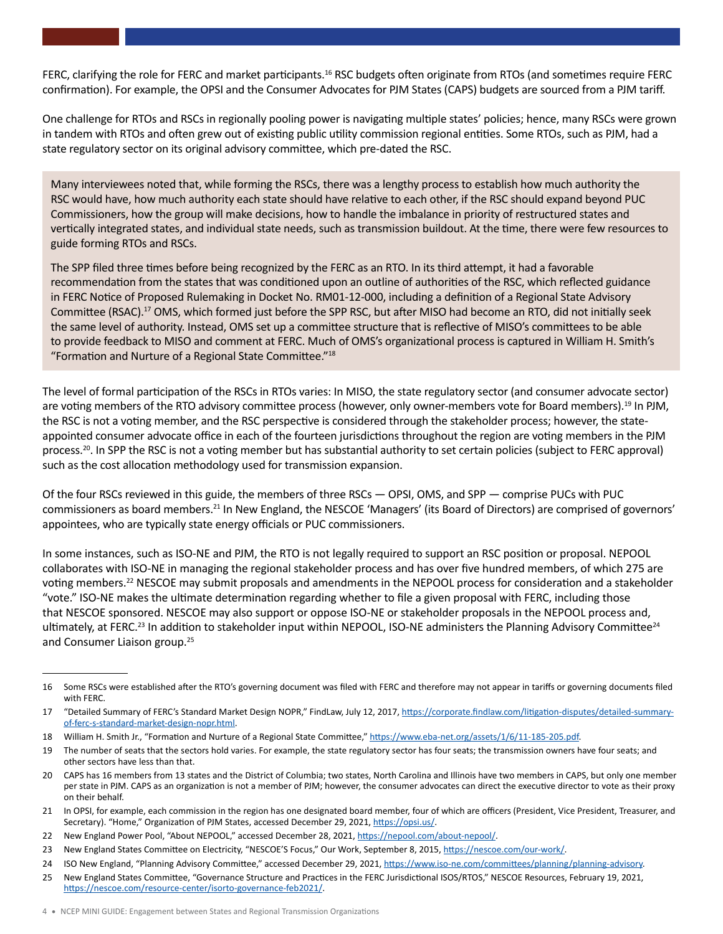FERC, clarifying the role for FERC and market participants.<sup>16</sup> RSC budgets often originate from RTOs (and sometimes require FERC confirmation). For example, the OPSI and the Consumer Advocates for PJM States (CAPS) budgets are sourced from a PJM tariff.

One challenge for RTOs and RSCs in regionally pooling power is navigating multiple states' policies; hence, many RSCs were grown in tandem with RTOs and often grew out of existing public utility commission regional entities. Some RTOs, such as PJM, had a state regulatory sector on its original advisory committee, which pre-dated the RSC.

Many interviewees noted that, while forming the RSCs, there was a lengthy process to establish how much authority the RSC would have, how much authority each state should have relative to each other, if the RSC should expand beyond PUC Commissioners, how the group will make decisions, how to handle the imbalance in priority of restructured states and vertically integrated states, and individual state needs, such as transmission buildout. At the time, there were few resources to guide forming RTOs and RSCs.

The SPP filed three times before being recognized by the FERC as an RTO. In its third attempt, it had a favorable recommendation from the states that was conditioned upon an outline of authorities of the RSC, which reflected guidance in FERC Notice of Proposed Rulemaking in Docket No. RM01-12-000, including a definition of a Regional State Advisory Committee (RSAC).17 OMS, which formed just before the SPP RSC, but after MISO had become an RTO, did not initially seek the same level of authority. Instead, OMS set up a committee structure that is reflective of MISO's committees to be able to provide feedback to MISO and comment at FERC. Much of OMS's organizational process is captured in William H. Smith's "Formation and Nurture of a Regional State Committee."18

The level of formal participation of the RSCs in RTOs varies: In MISO, the state regulatory sector (and consumer advocate sector) are voting members of the RTO advisory committee process (however, only owner-members vote for Board members).<sup>19</sup> In PJM, the RSC is not a voting member, and the RSC perspective is considered through the stakeholder process; however, the stateappointed consumer advocate office in each of the fourteen jurisdictions throughout the region are voting members in the PJM process.<sup>20</sup>. In SPP the RSC is not a voting member but has substantial authority to set certain policies (subject to FERC approval) such as the cost allocation methodology used for transmission expansion.

Of the four RSCs reviewed in this guide, the members of three RSCs — OPSI, OMS, and SPP — comprise PUCs with PUC commissioners as board members.21 In New England, the NESCOE 'Managers' (its Board of Directors) are comprised of governors' appointees, who are typically state energy officials or PUC commissioners.

In some instances, such as ISO-NE and PJM, the RTO is not legally required to support an RSC position or proposal. NEPOOL collaborates with ISO-NE in managing the regional stakeholder process and has over five hundred members, of which 275 are voting members.22 NESCOE may submit proposals and amendments in the NEPOOL process for consideration and a stakeholder "vote." ISO-NE makes the ultimate determination regarding whether to file a given proposal with FERC, including those that NESCOE sponsored. NESCOE may also support or oppose ISO-NE or stakeholder proposals in the NEPOOL process and, ultimately, at FERC.<sup>23</sup> In addition to stakeholder input within NEPOOL, ISO-NE administers the Planning Advisory Committee<sup>24</sup> and Consumer Liaison group.<sup>25</sup>

<sup>16</sup> Some RSCs were established after the RTO's governing document was filed with FERC and therefore may not appear in tariffs or governing documents filed with FERC.

<sup>17 &</sup>quot;Detailed Summary of FERC's Standard Market Design NOPR," FindLaw, July 12, 2017, [https://corporate.findlaw.com/litigation-disputes/detailed-summary](https://corporate.findlaw.com/litigation-disputes/detailed-summary-of-ferc-s-standard-market-design-nopr.html)[of-ferc-s-standard-market-design-nopr.html.](https://corporate.findlaw.com/litigation-disputes/detailed-summary-of-ferc-s-standard-market-design-nopr.html)

<sup>18</sup> William H. Smith Jr., "Formation and Nurture of a Regional State Committee,"<https://www.eba-net.org/assets/1/6/11-185-205.pdf>.

<sup>19</sup> The number of seats that the sectors hold varies. For example, the state regulatory sector has four seats; the transmission owners have four seats; and other sectors have less than that.

<sup>20</sup> CAPS has 16 members from 13 states and the District of Columbia; two states, North Carolina and Illinois have two members in CAPS, but only one member per state in PJM. CAPS as an organization is not a member of PJM; however, the consumer advocates can direct the executive director to vote as their proxy on their behalf.

<sup>21</sup> In OPSI, for example, each commission in the region has one designated board member, four of which are officers (President, Vice President, Treasurer, and Secretary). "Home," Organization of PJM States, accessed December 29, 2021,<https://opsi.us/>.

<sup>22</sup> New England Power Pool, "About NEPOOL," accessed December 28, 2021, [https://nepool.com/about-nepool/.](https://nepool.com/about-nepool/)

<sup>23</sup> New England States Committee on Electricity, "NESCOE'S Focus," Our Work, September 8, 2015, <https://nescoe.com/our-work/>.

<sup>24</sup> ISO New England, "Planning Advisory Committee," accessed December 29, 2021,<https://www.iso-ne.com/committees/planning/planning-advisory>.

<sup>25</sup> New England States Committee, "Governance Structure and Practices in the FERC Jurisdictional ISOS/RTOS," NESCOE Resources, February 19, 2021, <https://nescoe.com/resource-center/isorto-governance-feb2021/>.

<sup>4</sup> • NCEP MINI GUIDE: Engagement between States and Regional Transmission Organizations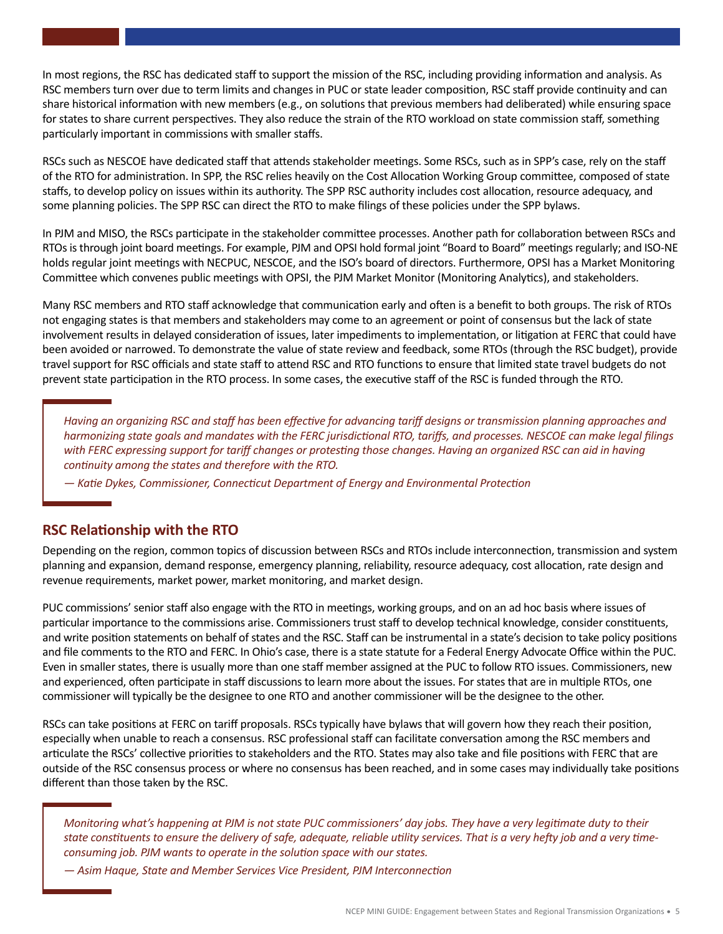In most regions, the RSC has dedicated staff to support the mission of the RSC, including providing information and analysis. As RSC members turn over due to term limits and changes in PUC or state leader composition, RSC staff provide continuity and can share historical information with new members (e.g., on solutions that previous members had deliberated) while ensuring space for states to share current perspectives. They also reduce the strain of the RTO workload on state commission staff, something particularly important in commissions with smaller staffs.

RSCs such as NESCOE have dedicated staff that attends stakeholder meetings. Some RSCs, such as in SPP's case, rely on the staff of the RTO for administration. In SPP, the RSC relies heavily on the Cost Allocation Working Group committee, composed of state staffs, to develop policy on issues within its authority. The SPP RSC authority includes cost allocation, resource adequacy, and some planning policies. The SPP RSC can direct the RTO to make filings of these policies under the SPP bylaws.

In PJM and MISO, the RSCs participate in the stakeholder committee processes. Another path for collaboration between RSCs and RTOs is through joint board meetings. For example, PJM and OPSI hold formal joint "Board to Board" meetings regularly; and ISO-NE holds regular joint meetings with NECPUC, NESCOE, and the ISO's board of directors. Furthermore, OPSI has a Market Monitoring Committee which convenes public meetings with OPSI, the PJM Market Monitor (Monitoring Analytics), and stakeholders.

Many RSC members and RTO staff acknowledge that communication early and often is a benefit to both groups. The risk of RTOs not engaging states is that members and stakeholders may come to an agreement or point of consensus but the lack of state involvement results in delayed consideration of issues, later impediments to implementation, or litigation at FERC that could have been avoided or narrowed. To demonstrate the value of state review and feedback, some RTOs (through the RSC budget), provide travel support for RSC officials and state staff to attend RSC and RTO functions to ensure that limited state travel budgets do not prevent state participation in the RTO process. In some cases, the executive staff of the RSC is funded through the RTO.

*Having an organizing RSC and staff has been effective for advancing tariff designs or transmission planning approaches and harmonizing state goals and mandates with the FERC jurisdictional RTO, tariffs, and processes. NESCOE can make legal filings with FERC expressing support for tariff changes or protesting those changes. Having an organized RSC can aid in having continuity among the states and therefore with the RTO.* 

*— Katie Dykes, Commissioner, Connecticut Department of Energy and Environmental Protection*

## **RSC Relationship with the RTO**

Depending on the region, common topics of discussion between RSCs and RTOs include interconnection, transmission and system planning and expansion, demand response, emergency planning, reliability, resource adequacy, cost allocation, rate design and revenue requirements, market power, market monitoring, and market design.

PUC commissions' senior staff also engage with the RTO in meetings, working groups, and on an ad hoc basis where issues of particular importance to the commissions arise. Commissioners trust staff to develop technical knowledge, consider constituents, and write position statements on behalf of states and the RSC. Staff can be instrumental in a state's decision to take policy positions and file comments to the RTO and FERC. In Ohio's case, there is a state statute for a Federal Energy Advocate Office within the PUC. Even in smaller states, there is usually more than one staff member assigned at the PUC to follow RTO issues. Commissioners, new and experienced, often participate in staff discussions to learn more about the issues. For states that are in multiple RTOs, one commissioner will typically be the designee to one RTO and another commissioner will be the designee to the other.

RSCs can take positions at FERC on tariff proposals. RSCs typically have bylaws that will govern how they reach their position, especially when unable to reach a consensus. RSC professional staff can facilitate conversation among the RSC members and articulate the RSCs' collective priorities to stakeholders and the RTO. States may also take and file positions with FERC that are outside of the RSC consensus process or where no consensus has been reached, and in some cases may individually take positions different than those taken by the RSC.

*Monitoring what's happening at PJM is not state PUC commissioners' day jobs. They have a very legitimate duty to their state constituents to ensure the delivery of safe, adequate, reliable utility services. That is a very hefty job and a very timeconsuming job. PJM wants to operate in the solution space with our states.* 

*— Asim Haque, State and Member Services Vice President, PJM Interconnection*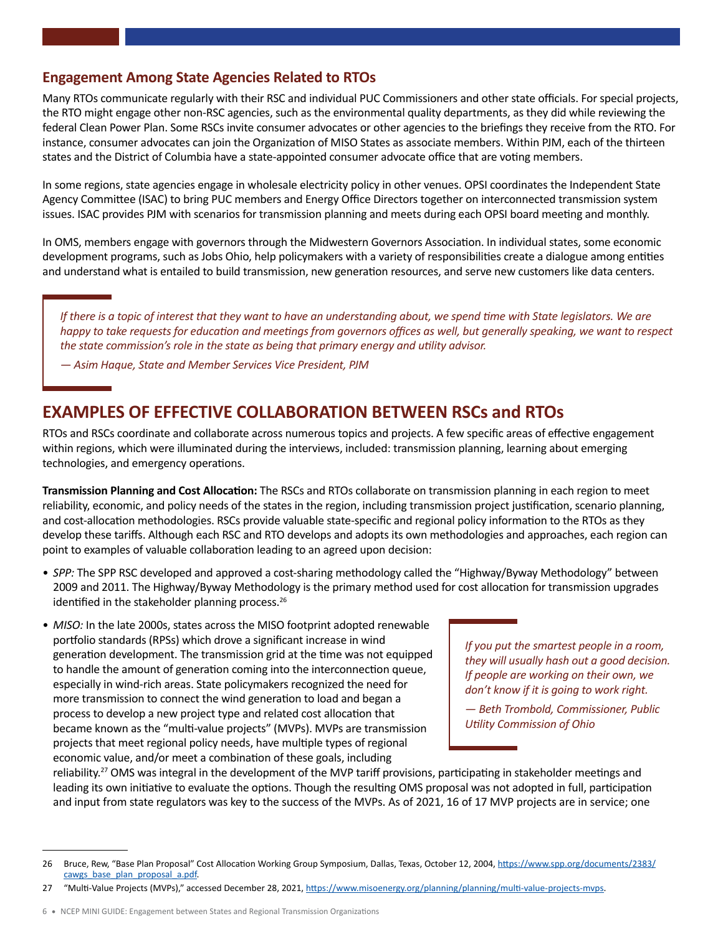## **Engagement Among State Agencies Related to RTOs**

Many RTOs communicate regularly with their RSC and individual PUC Commissioners and other state officials. For special projects, the RTO might engage other non-RSC agencies, such as the environmental quality departments, as they did while reviewing the federal Clean Power Plan. Some RSCs invite consumer advocates or other agencies to the briefings they receive from the RTO. For instance, consumer advocates can join the Organization of MISO States as associate members. Within PJM, each of the thirteen states and the District of Columbia have a state-appointed consumer advocate office that are voting members.

In some regions, state agencies engage in wholesale electricity policy in other venues. OPSI coordinates the Independent State Agency Committee (ISAC) to bring PUC members and Energy Office Directors together on interconnected transmission system issues. ISAC provides PJM with scenarios for transmission planning and meets during each OPSI board meeting and monthly.

In OMS, members engage with governors through the Midwestern Governors Association. In individual states, some economic development programs, such as Jobs Ohio, help policymakers with a variety of responsibilities create a dialogue among entities and understand what is entailed to build transmission, new generation resources, and serve new customers like data centers.

*If there is a topic of interest that they want to have an understanding about, we spend time with State legislators. We are happy to take requests for education and meetings from governors offices as well, but generally speaking, we want to respect the state commission's role in the state as being that primary energy and utility advisor.* 

*— Asim Haque, State and Member Services Vice President, PJM*

# **EXAMPLES OF EFFECTIVE COLLABORATION BETWEEN RSCs and RTOs**

RTOs and RSCs coordinate and collaborate across numerous topics and projects. A few specific areas of effective engagement within regions, which were illuminated during the interviews, included: transmission planning, learning about emerging technologies, and emergency operations.

**Transmission Planning and Cost Allocation:** The RSCs and RTOs collaborate on transmission planning in each region to meet reliability, economic, and policy needs of the states in the region, including transmission project justification, scenario planning, and cost-allocation methodologies. RSCs provide valuable state-specific and regional policy information to the RTOs as they develop these tariffs. Although each RSC and RTO develops and adopts its own methodologies and approaches, each region can point to examples of valuable collaboration leading to an agreed upon decision:

- *SPP:* The SPP RSC developed and approved a cost-sharing methodology called the "Highway/Byway Methodology" between 2009 and 2011. The Highway/Byway Methodology is the primary method used for cost allocation for transmission upgrades identified in the stakeholder planning process.<sup>26</sup>
- *MISO:* In the late 2000s, states across the MISO footprint adopted renewable portfolio standards (RPSs) which drove a significant increase in wind generation development. The transmission grid at the time was not equipped to handle the amount of generation coming into the interconnection queue, especially in wind-rich areas. State policymakers recognized the need for more transmission to connect the wind generation to load and began a process to develop a new project type and related cost allocation that became known as the "multi-value projects" (MVPs). MVPs are transmission projects that meet regional policy needs, have multiple types of regional economic value, and/or meet a combination of these goals, including

*If you put the smartest people in a room, they will usually hash out a good decision. If people are working on their own, we don't know if it is going to work right.* 

*— Beth Trombold, Commissioner, Public Utility Commission of Ohio*

reliability.<sup>27</sup> OMS was integral in the development of the MVP tariff provisions, participating in stakeholder meetings and leading its own initiative to evaluate the options. Though the resulting OMS proposal was not adopted in full, participation and input from state regulators was key to the success of the MVPs. As of 2021, 16 of 17 MVP projects are in service; one

<sup>26</sup> Bruce, Rew, "Base Plan Proposal" Cost Allocation Working Group Symposium, Dallas, Texas, October 12, 2004, [https://www.spp.org/documents/2383/](https://www.spp.org/documents/2383/cawgs_base_plan_proposal_a.pdf) [cawgs\\_base\\_plan\\_proposal\\_a.pdf.](https://www.spp.org/documents/2383/cawgs_base_plan_proposal_a.pdf)

<sup>27 &</sup>quot;Multi-Value Projects (MVPs)," accessed December 28, 2021,<https://www.misoenergy.org/planning/planning/multi-value-projects-mvps>.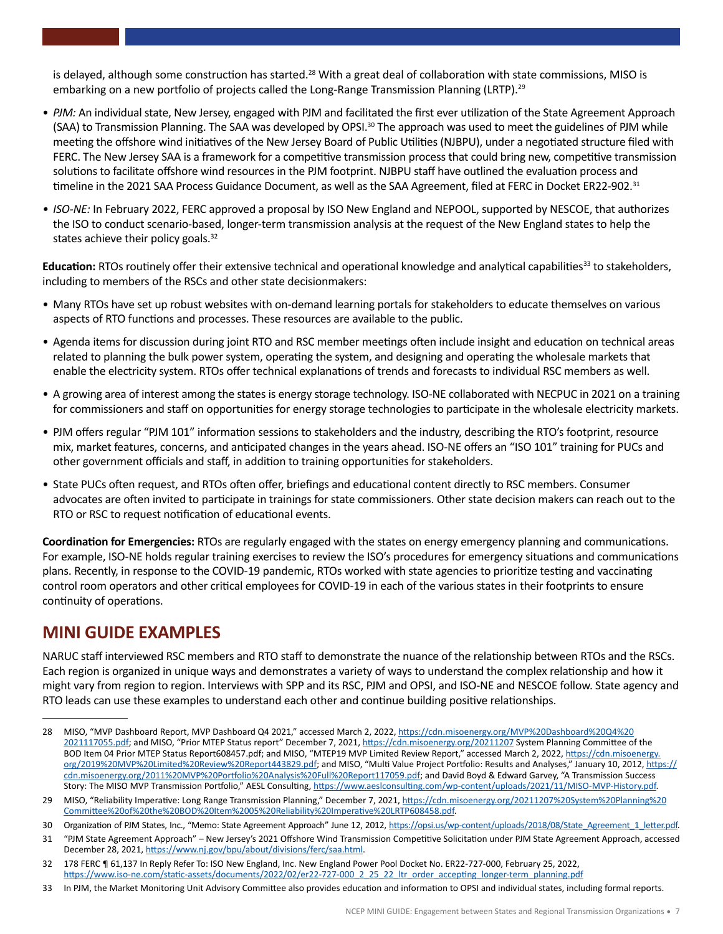is delayed, although some construction has started.<sup>28</sup> With a great deal of collaboration with state commissions, MISO is embarking on a new portfolio of projects called the Long-Range Transmission Planning (LRTP).<sup>29</sup>

- *PJM:* An individual state, New Jersey, engaged with PJM and facilitated the first ever utilization of the State Agreement Approach (SAA) to Transmission Planning. The SAA was developed by OPSI.<sup>30</sup> The approach was used to meet the guidelines of PJM while meeting the offshore wind initiatives of the New Jersey Board of Public Utilities (NJBPU), under a negotiated structure filed with FERC. The New Jersey SAA is a framework for a competitive transmission process that could bring new, competitive transmission solutions to facilitate offshore wind resources in the PJM footprint. NJBPU staff have outlined the evaluation process and timeline in the 2021 SAA Process Guidance Document, as well as the SAA Agreement, filed at FERC in Docket ER22-902.<sup>31</sup>
- *• ISO-NE:* In February 2022, FERC approved a proposal by ISO New England and NEPOOL, supported by NESCOE, that authorizes the ISO to conduct scenario-based, longer-term transmission analysis at the request of the New England states to help the states achieve their policy goals.<sup>32</sup>

**Education:** RTOs routinely offer their extensive technical and operational knowledge and analytical capabilities<sup>33</sup> to stakeholders, including to members of the RSCs and other state decisionmakers:

- Many RTOs have set up robust websites with on-demand learning portals for stakeholders to educate themselves on various aspects of RTO functions and processes. These resources are available to the public.
- Agenda items for discussion during joint RTO and RSC member meetings often include insight and education on technical areas related to planning the bulk power system, operating the system, and designing and operating the wholesale markets that enable the electricity system. RTOs offer technical explanations of trends and forecasts to individual RSC members as well.
- A growing area of interest among the states is energy storage technology. ISO-NE collaborated with NECPUC in 2021 on a training for commissioners and staff on opportunities for energy storage technologies to participate in the wholesale electricity markets.
- PJM offers regular "PJM 101" information sessions to stakeholders and the industry, describing the RTO's footprint, resource mix, market features, concerns, and anticipated changes in the years ahead. ISO-NE offers an "ISO 101" training for PUCs and other government officials and staff, in addition to training opportunities for stakeholders.
- State PUCs often request, and RTOs often offer, briefings and educational content directly to RSC members. Consumer advocates are often invited to participate in trainings for state commissioners. Other state decision makers can reach out to the RTO or RSC to request notification of educational events.

**Coordination for Emergencies:** RTOs are regularly engaged with the states on energy emergency planning and communications. For example, ISO-NE holds regular training exercises to review the ISO's procedures for emergency situations and communications plans. Recently, in response to the COVID-19 pandemic, RTOs worked with state agencies to prioritize testing and vaccinating control room operators and other critical employees for COVID-19 in each of the various states in their footprints to ensure continuity of operations.

# **MINI GUIDE EXAMPLES**

NARUC staff interviewed RSC members and RTO staff to demonstrate the nuance of the relationship between RTOs and the RSCs. Each region is organized in unique ways and demonstrates a variety of ways to understand the complex relationship and how it might vary from region to region. Interviews with SPP and its RSC, PJM and OPSI, and ISO-NE and NESCOE follow. State agency and RTO leads can use these examples to understand each other and continue building positive relationships.

<sup>28</sup> MISO, "MVP Dashboard Report, MVP Dashboard Q4 2021," accessed March 2, 2022, [https://cdn.misoenergy.org/MVP%20Dashboard%20Q4%20](https://cdn.misoenergy.org/MVP%20Dashboard%20Q4%202021117055.pdf) [2021117055.pdf](https://cdn.misoenergy.org/MVP%20Dashboard%20Q4%202021117055.pdf); and MISO, "Prior MTEP Status report" December 7, 2021,<https://cdn.misoenergy.org/20211207> System Planning Committee of the BOD Item 04 Prior MTEP Status Report608457.pdf; and MISO, "MTEP19 MVP Limited Review Report," accessed March 2, 2022, [https://cdn.misoenergy.](https://cdn.misoenergy.org/2019%20MVP%20Limited%20Review%20Report443829.pdf) [org/2019%20MVP%20Limited%20Review%20Report443829.pdf](https://cdn.misoenergy.org/2019%20MVP%20Limited%20Review%20Report443829.pdf); and MISO, "Multi Value Project Portfolio: Results and Analyses," January 10, 2012, [https://](https://cdn.misoenergy.org/2011%20MVP%20Portfolio%20Analysis%20Full%20Report117059.pdf) [cdn.misoenergy.org/2011%20MVP%20Portfolio%20Analysis%20Full%20Report117059.pdf;](https://cdn.misoenergy.org/2011%20MVP%20Portfolio%20Analysis%20Full%20Report117059.pdf) and David Boyd & Edward Garvey, "A Transmission Success Story: The MISO MVP Transmission Portfolio," AESL Consulting, [https://www.aeslconsulting.com/wp-content/uploads/2021/11/MISO-MVP-History.pdf.](https://www.aeslconsulting.com/wp-content/uploads/2021/11/MISO-MVP-History.pdf)

<sup>29</sup> MISO, "Reliability Imperative: Long Range Transmission Planning," December 7, 2021, [https://cdn.misoenergy.org/20211207%20System%20Planning%20](https://cdn.misoenergy.org/20211207%20System%20Planning%20Committee%20of%20the%20BOD%20Item%2005%20Reliability%20Imperative%20LRTP608458.pdf) [Committee%20of%20the%20BOD%20Item%2005%20Reliability%20Imperative%20LRTP608458.pdf.](https://cdn.misoenergy.org/20211207%20System%20Planning%20Committee%20of%20the%20BOD%20Item%2005%20Reliability%20Imperative%20LRTP608458.pdf)

<sup>30</sup> Organization of PJM States, Inc., "Memo: State Agreement Approach" June 12, 2012, [https://opsi.us/wp-content/uploads/2018/08/State\\_Agreement\\_1\\_letter.pdf.](https://opsi.us/wp-content/uploads/2018/08/State_Agreement_1_letter.pdf)

<sup>31</sup> "PJM State Agreement Approach" – New Jersey's 2021 Offshore Wind Transmission Competitive Solicitation under PJM State Agreement Approach, accessed December 28, 2021,<https://www.nj.gov/bpu/about/divisions/ferc/saa.html>.

<sup>32</sup> 178 FERC ¶ 61,137 In Reply Refer To: ISO New England, Inc. New England Power Pool Docket No. ER22-727-000, February 25, 2022, [https://www.iso-ne.com/static-assets/documents/2022/02/er22-727-000\\_2\\_25\\_22\\_ltr\\_order\\_accepting\\_longer-term\\_planning.pdf](https://www.iso-ne.com/static-assets/documents/2022/02/er22-727-000_2_25_22_ltr_order_accepting_longer-term_planning.pdf)

<sup>33</sup> In PJM, the Market Monitoring Unit Advisory Committee also provides education and information to OPSI and individual states, including formal reports.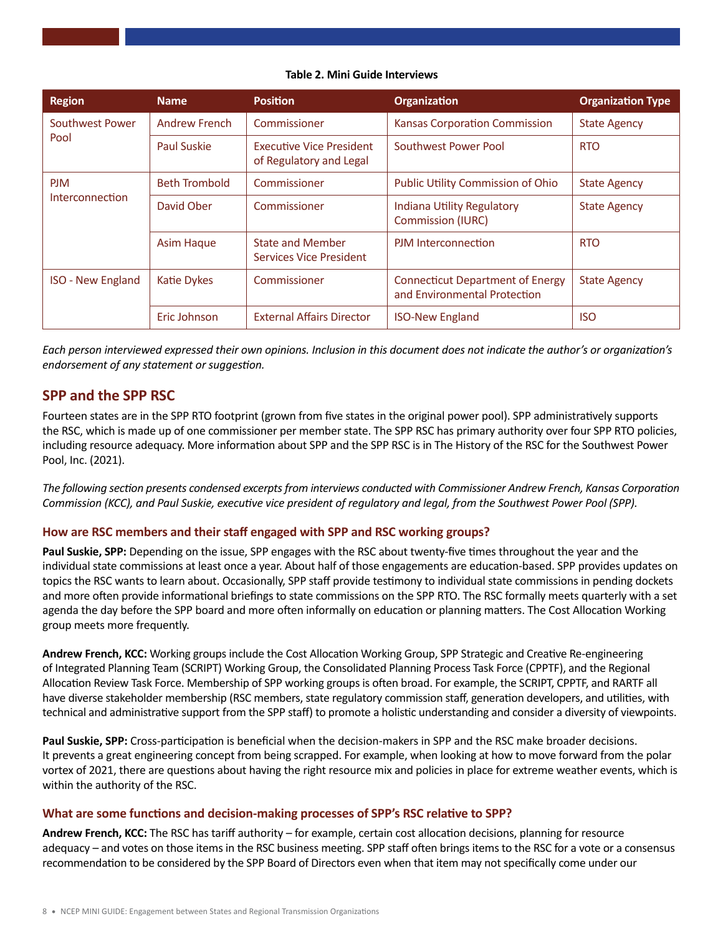#### **Table 2. Mini Guide Interviews**

| <b>Region</b>                 | <b>Name</b>          | <b>Position</b>                                            | <b>Organization</b>                                                     | <b>Organization Type</b> |
|-------------------------------|----------------------|------------------------------------------------------------|-------------------------------------------------------------------------|--------------------------|
| Southwest Power<br>Pool       | <b>Andrew French</b> | Commissioner                                               | Kansas Corporation Commission                                           | <b>State Agency</b>      |
|                               | <b>Paul Suskie</b>   | <b>Executive Vice President</b><br>of Regulatory and Legal | Southwest Power Pool                                                    | <b>RTO</b>               |
| <b>PJM</b><br>Interconnection | <b>Beth Trombold</b> | Commissioner                                               | Public Utility Commission of Ohio                                       | <b>State Agency</b>      |
|                               | David Ober           | Commissioner                                               | Indiana Utility Regulatory<br><b>Commission (IURC)</b>                  | <b>State Agency</b>      |
|                               | <b>Asim Haque</b>    | <b>State and Member</b><br>Services Vice President         | PJM Interconnection                                                     | <b>RTO</b>               |
| <b>ISO - New England</b>      | Katie Dykes          | Commissioner                                               | <b>Connecticut Department of Energy</b><br>and Environmental Protection | <b>State Agency</b>      |
|                               | Eric Johnson         | <b>External Affairs Director</b>                           | <b>ISO-New England</b>                                                  | <b>ISO</b>               |

*Each person interviewed expressed their own opinions. Inclusion in this document does not indicate the author's or organization's endorsement of any statement or suggestion.* 

### **SPP and the SPP RSC**

Fourteen states are in the SPP RTO footprint (grown from five states in the original power pool). SPP administratively supports the RSC, which is made up of one commissioner per member state. The SPP RSC has primary authority over four SPP RTO policies, including resource adequacy. More information about SPP and the SPP RSC is in The History of the RSC for the Southwest Power Pool, Inc. (2021).

*The following section presents condensed excerpts from interviews conducted with Commissioner Andrew French, Kansas Corporation Commission (KCC), and Paul Suskie, executive vice president of regulatory and legal, from the Southwest Power Pool (SPP).* 

#### **How are RSC members and their staff engaged with SPP and RSC working groups?**

**Paul Suskie, SPP:** Depending on the issue, SPP engages with the RSC about twenty-five times throughout the year and the individual state commissions at least once a year. About half of those engagements are education-based. SPP provides updates on topics the RSC wants to learn about. Occasionally, SPP staff provide testimony to individual state commissions in pending dockets and more often provide informational briefings to state commissions on the SPP RTO. The RSC formally meets quarterly with a set agenda the day before the SPP board and more often informally on education or planning matters. The Cost Allocation Working group meets more frequently.

**Andrew French, KCC:** Working groups include the Cost Allocation Working Group, SPP Strategic and Creative Re-engineering of Integrated Planning Team (SCRIPT) Working Group, the Consolidated Planning Process Task Force (CPPTF), and the Regional Allocation Review Task Force. Membership of SPP working groups is often broad. For example, the SCRIPT, CPPTF, and RARTF all have diverse stakeholder membership (RSC members, state regulatory commission staff, generation developers, and utilities, with technical and administrative support from the SPP staff) to promote a holistic understanding and consider a diversity of viewpoints.

**Paul Suskie, SPP:** Cross-participation is beneficial when the decision-makers in SPP and the RSC make broader decisions. It prevents a great engineering concept from being scrapped. For example, when looking at how to move forward from the polar vortex of 2021, there are questions about having the right resource mix and policies in place for extreme weather events, which is within the authority of the RSC.

#### **What are some functions and decision-making processes of SPP's RSC relative to SPP?**

**Andrew French, KCC:** The RSC has tariff authority – for example, certain cost allocation decisions, planning for resource adequacy – and votes on those items in the RSC business meeting. SPP staff often brings items to the RSC for a vote or a consensus recommendation to be considered by the SPP Board of Directors even when that item may not specifically come under our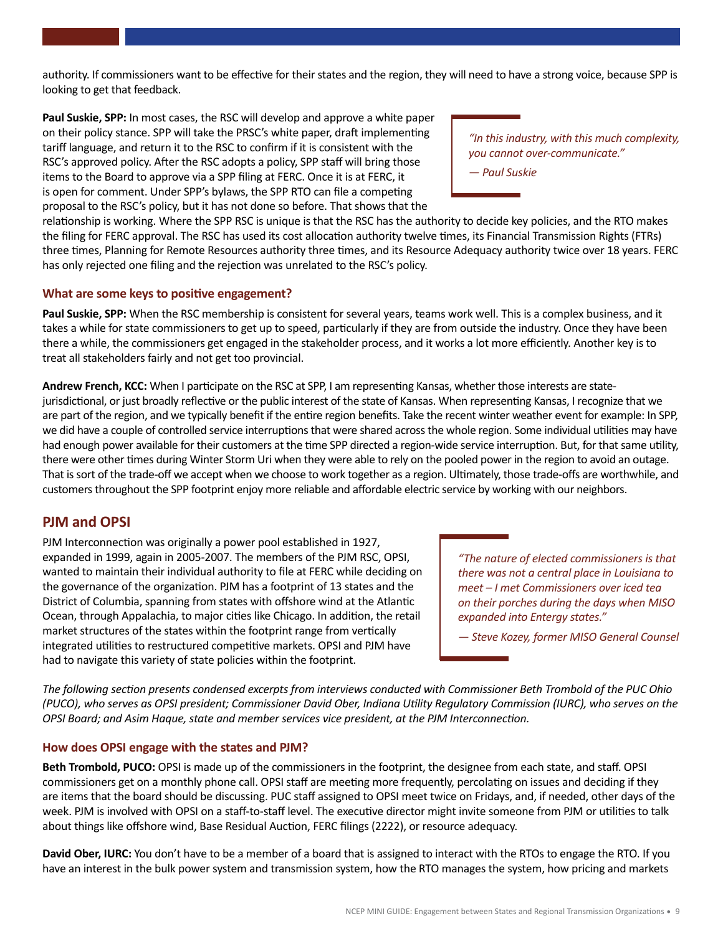authority. If commissioners want to be effective for their states and the region, they will need to have a strong voice, because SPP is looking to get that feedback.

**Paul Suskie, SPP:** In most cases, the RSC will develop and approve a white paper on their policy stance. SPP will take the PRSC's white paper, draft implementing tariff language, and return it to the RSC to confirm if it is consistent with the RSC's approved policy. After the RSC adopts a policy, SPP staff will bring those items to the Board to approve via a SPP filing at FERC. Once it is at FERC, it is open for comment. Under SPP's bylaws, the SPP RTO can file a competing proposal to the RSC's policy, but it has not done so before. That shows that the

*"In this industry, with this much complexity, you cannot over-communicate."* 

*— Paul Suskie*

relationship is working. Where the SPP RSC is unique is that the RSC has the authority to decide key policies, and the RTO makes the filing for FERC approval. The RSC has used its cost allocation authority twelve times, its Financial Transmission Rights (FTRs) three times, Planning for Remote Resources authority three times, and its Resource Adequacy authority twice over 18 years. FERC has only rejected one filing and the rejection was unrelated to the RSC's policy.

#### **What are some keys to positive engagement?**

**Paul Suskie, SPP:** When the RSC membership is consistent for several years, teams work well. This is a complex business, and it takes a while for state commissioners to get up to speed, particularly if they are from outside the industry. Once they have been there a while, the commissioners get engaged in the stakeholder process, and it works a lot more efficiently. Another key is to treat all stakeholders fairly and not get too provincial.

**Andrew French, KCC:** When I participate on the RSC at SPP, I am representing Kansas, whether those interests are statejurisdictional, or just broadly reflective or the public interest of the state of Kansas. When representing Kansas, I recognize that we are part of the region, and we typically benefit if the entire region benefits. Take the recent winter weather event for example: In SPP, we did have a couple of controlled service interruptions that were shared across the whole region. Some individual utilities may have had enough power available for their customers at the time SPP directed a region-wide service interruption. But, for that same utility, there were other times during Winter Storm Uri when they were able to rely on the pooled power in the region to avoid an outage. That is sort of the trade-off we accept when we choose to work together as a region. Ultimately, those trade-offs are worthwhile, and customers throughout the SPP footprint enjoy more reliable and affordable electric service by working with our neighbors.

# **PJM and OPSI**

PJM Interconnection was originally a power pool established in 1927, expanded in 1999, again in 2005-2007. The members of the PJM RSC, OPSI, wanted to maintain their individual authority to file at FERC while deciding on the governance of the organization. PJM has a footprint of 13 states and the District of Columbia, spanning from states with offshore wind at the Atlantic Ocean, through Appalachia, to major cities like Chicago. In addition, the retail market structures of the states within the footprint range from vertically integrated utilities to restructured competitive markets. OPSI and PJM have had to navigate this variety of state policies within the footprint.

*"The nature of elected commissioners is that there was not a central place in Louisiana to meet – I met Commissioners over iced tea on their porches during the days when MISO expanded into Entergy states."* 

*— Steve Kozey, former MISO General Counsel*

*The following section presents condensed excerpts from interviews conducted with Commissioner Beth Trombold of the PUC Ohio (PUCO), who serves as OPSI president; Commissioner David Ober, Indiana Utility Regulatory Commission (IURC), who serves on the OPSI Board; and Asim Haque, state and member services vice president, at the PJM Interconnection.* 

#### **How does OPSI engage with the states and PJM?**

**Beth Trombold, PUCO:** OPSI is made up of the commissioners in the footprint, the designee from each state, and staff. OPSI commissioners get on a monthly phone call. OPSI staff are meeting more frequently, percolating on issues and deciding if they are items that the board should be discussing. PUC staff assigned to OPSI meet twice on Fridays, and, if needed, other days of the week. PJM is involved with OPSI on a staff-to-staff level. The executive director might invite someone from PJM or utilities to talk about things like offshore wind, Base Residual Auction, FERC filings (2222), or resource adequacy.

**David Ober, IURC:** You don't have to be a member of a board that is assigned to interact with the RTOs to engage the RTO. If you have an interest in the bulk power system and transmission system, how the RTO manages the system, how pricing and markets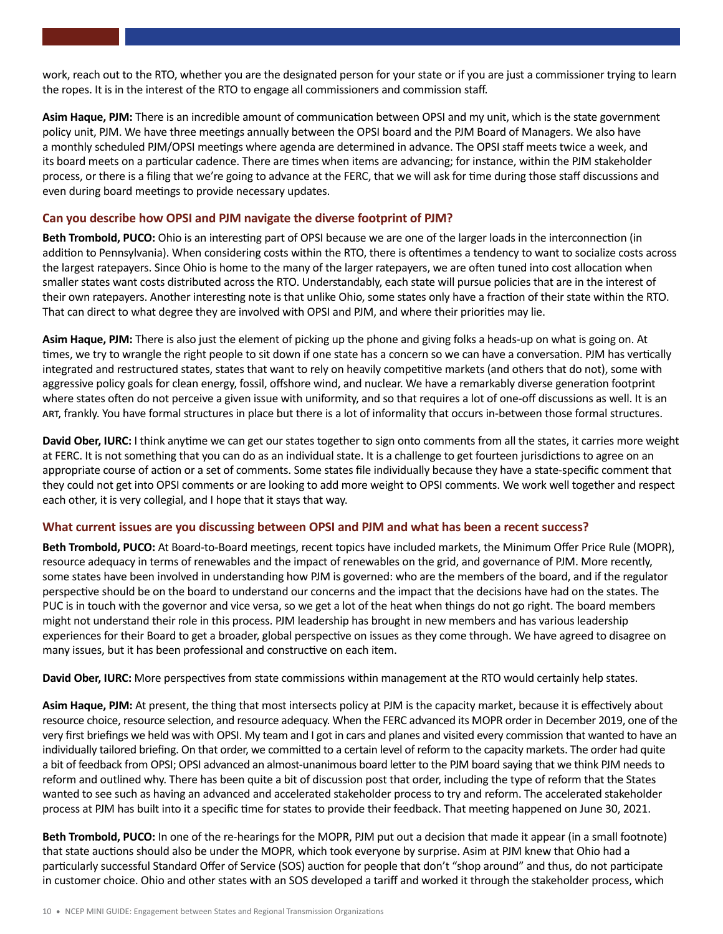work, reach out to the RTO, whether you are the designated person for your state or if you are just a commissioner trying to learn the ropes. It is in the interest of the RTO to engage all commissioners and commission staff.

**Asim Haque, PJM:** There is an incredible amount of communication between OPSI and my unit, which is the state government policy unit, PJM. We have three meetings annually between the OPSI board and the PJM Board of Managers. We also have a monthly scheduled PJM/OPSI meetings where agenda are determined in advance. The OPSI staff meets twice a week, and its board meets on a particular cadence. There are times when items are advancing; for instance, within the PJM stakeholder process, or there is a filing that we're going to advance at the FERC, that we will ask for time during those staff discussions and even during board meetings to provide necessary updates.

#### **Can you describe how OPSI and PJM navigate the diverse footprint of PJM?**

**Beth Trombold, PUCO:** Ohio is an interesting part of OPSI because we are one of the larger loads in the interconnection (in addition to Pennsylvania). When considering costs within the RTO, there is oftentimes a tendency to want to socialize costs across the largest ratepayers. Since Ohio is home to the many of the larger ratepayers, we are often tuned into cost allocation when smaller states want costs distributed across the RTO. Understandably, each state will pursue policies that are in the interest of their own ratepayers. Another interesting note is that unlike Ohio, some states only have a fraction of their state within the RTO. That can direct to what degree they are involved with OPSI and PJM, and where their priorities may lie.

**Asim Haque, PJM:** There is also just the element of picking up the phone and giving folks a heads-up on what is going on. At times, we try to wrangle the right people to sit down if one state has a concern so we can have a conversation. PJM has vertically integrated and restructured states, states that want to rely on heavily competitive markets (and others that do not), some with aggressive policy goals for clean energy, fossil, offshore wind, and nuclear. We have a remarkably diverse generation footprint where states often do not perceive a given issue with uniformity, and so that requires a lot of one-off discussions as well. It is an art, frankly. You have formal structures in place but there is a lot of informality that occurs in-between those formal structures.

**David Ober, IURC:** I think anytime we can get our states together to sign onto comments from all the states, it carries more weight at FERC. It is not something that you can do as an individual state. It is a challenge to get fourteen jurisdictions to agree on an appropriate course of action or a set of comments. Some states file individually because they have a state-specific comment that they could not get into OPSI comments or are looking to add more weight to OPSI comments. We work well together and respect each other, it is very collegial, and I hope that it stays that way.

#### **What current issues are you discussing between OPSI and PJM and what has been a recent success?**

**Beth Trombold, PUCO:** At Board-to-Board meetings, recent topics have included markets, the Minimum Offer Price Rule (MOPR), resource adequacy in terms of renewables and the impact of renewables on the grid, and governance of PJM. More recently, some states have been involved in understanding how PJM is governed: who are the members of the board, and if the regulator perspective should be on the board to understand our concerns and the impact that the decisions have had on the states. The PUC is in touch with the governor and vice versa, so we get a lot of the heat when things do not go right. The board members might not understand their role in this process. PJM leadership has brought in new members and has various leadership experiences for their Board to get a broader, global perspective on issues as they come through. We have agreed to disagree on many issues, but it has been professional and constructive on each item.

**David Ober, IURC:** More perspectives from state commissions within management at the RTO would certainly help states.

Asim Haque, PJM: At present, the thing that most intersects policy at PJM is the capacity market, because it is effectively about resource choice, resource selection, and resource adequacy. When the FERC advanced its MOPR order in December 2019, one of the very first briefings we held was with OPSI. My team and I got in cars and planes and visited every commission that wanted to have an individually tailored briefing. On that order, we committed to a certain level of reform to the capacity markets. The order had quite a bit of feedback from OPSI; OPSI advanced an almost-unanimous board letter to the PJM board saying that we think PJM needs to reform and outlined why. There has been quite a bit of discussion post that order, including the type of reform that the States wanted to see such as having an advanced and accelerated stakeholder process to try and reform. The accelerated stakeholder process at PJM has built into it a specific time for states to provide their feedback. That meeting happened on June 30, 2021.

**Beth Trombold, PUCO:** In one of the re-hearings for the MOPR, PJM put out a decision that made it appear (in a small footnote) that state auctions should also be under the MOPR, which took everyone by surprise. Asim at PJM knew that Ohio had a particularly successful Standard Offer of Service (SOS) auction for people that don't "shop around" and thus, do not participate in customer choice. Ohio and other states with an SOS developed a tariff and worked it through the stakeholder process, which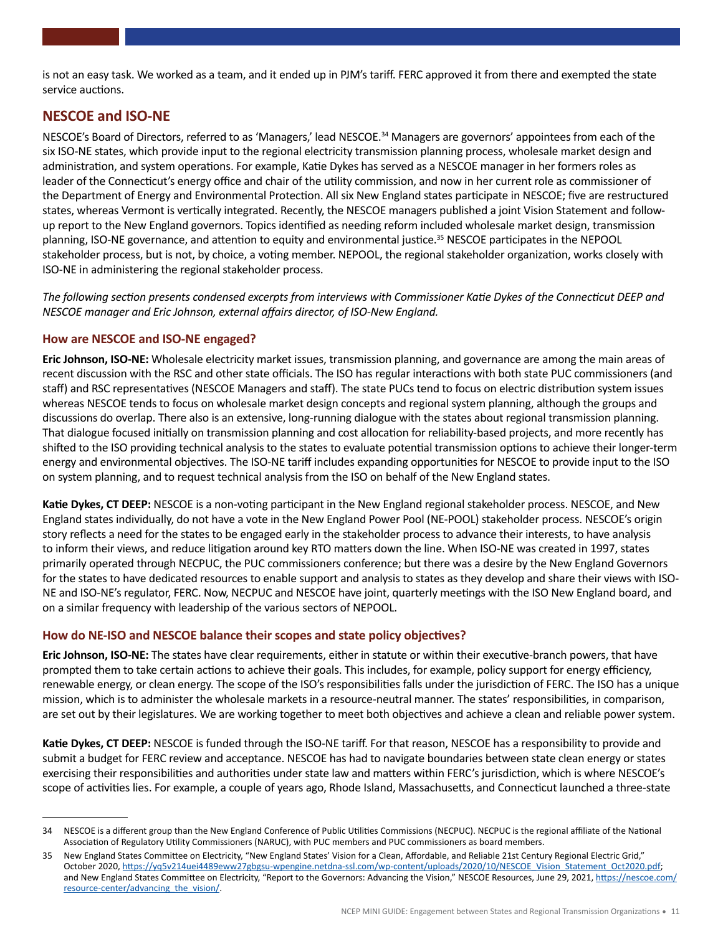is not an easy task. We worked as a team, and it ended up in PJM's tariff. FERC approved it from there and exempted the state service auctions.

# **NESCOE and ISO-NE**

NESCOE's Board of Directors, referred to as 'Managers,' lead NESCOE.34 Managers are governors' appointees from each of the six ISO-NE states, which provide input to the regional electricity transmission planning process, wholesale market design and administration, and system operations. For example, Katie Dykes has served as a NESCOE manager in her formers roles as leader of the Connecticut's energy office and chair of the utility commission, and now in her current role as commissioner of the Department of Energy and Environmental Protection. All six New England states participate in NESCOE; five are restructured states, whereas Vermont is vertically integrated. Recently, the NESCOE managers published a joint Vision Statement and followup report to the New England governors. Topics identified as needing reform included wholesale market design, transmission planning, ISO-NE governance, and attention to equity and environmental justice.<sup>35</sup> NESCOE participates in the NEPOOL stakeholder process, but is not, by choice, a voting member. NEPOOL, the regional stakeholder organization, works closely with ISO-NE in administering the regional stakeholder process.

*The following section presents condensed excerpts from interviews with Commissioner Katie Dykes of the Connecticut DEEP and NESCOE manager and Eric Johnson, external affairs director, of ISO-New England.* 

## **How are NESCOE and ISO-NE engaged?**

**Eric Johnson, ISO-NE:** Wholesale electricity market issues, transmission planning, and governance are among the main areas of recent discussion with the RSC and other state officials. The ISO has regular interactions with both state PUC commissioners (and staff) and RSC representatives (NESCOE Managers and staff). The state PUCs tend to focus on electric distribution system issues whereas NESCOE tends to focus on wholesale market design concepts and regional system planning, although the groups and discussions do overlap. There also is an extensive, long-running dialogue with the states about regional transmission planning. That dialogue focused initially on transmission planning and cost allocation for reliability-based projects, and more recently has shifted to the ISO providing technical analysis to the states to evaluate potential transmission options to achieve their longer-term energy and environmental objectives. The ISO-NE tariff includes expanding opportunities for NESCOE to provide input to the ISO on system planning, and to request technical analysis from the ISO on behalf of the New England states.

**Katie Dykes, CT DEEP:** NESCOE is a non-voting participant in the New England regional stakeholder process. NESCOE, and New England states individually, do not have a vote in the New England Power Pool (NE-POOL) stakeholder process. NESCOE's origin story reflects a need for the states to be engaged early in the stakeholder process to advance their interests, to have analysis to inform their views, and reduce litigation around key RTO matters down the line. When ISO-NE was created in 1997, states primarily operated through NECPUC, the PUC commissioners conference; but there was a desire by the New England Governors for the states to have dedicated resources to enable support and analysis to states as they develop and share their views with ISO-NE and ISO-NE's regulator, FERC. Now, NECPUC and NESCOE have joint, quarterly meetings with the ISO New England board, and on a similar frequency with leadership of the various sectors of NEPOOL.

#### **How do NE-ISO and NESCOE balance their scopes and state policy objectives?**

**Eric Johnson, ISO-NE:** The states have clear requirements, either in statute or within their executive-branch powers, that have prompted them to take certain actions to achieve their goals. This includes, for example, policy support for energy efficiency, renewable energy, or clean energy. The scope of the ISO's responsibilities falls under the jurisdiction of FERC. The ISO has a unique mission, which is to administer the wholesale markets in a resource-neutral manner. The states' responsibilities, in comparison, are set out by their legislatures. We are working together to meet both objectives and achieve a clean and reliable power system.

**Katie Dykes, CT DEEP:** NESCOE is funded through the ISO-NE tariff. For that reason, NESCOE has a responsibility to provide and submit a budget for FERC review and acceptance. NESCOE has had to navigate boundaries between state clean energy or states exercising their responsibilities and authorities under state law and matters within FERC's jurisdiction, which is where NESCOE's scope of activities lies. For example, a couple of years ago, Rhode Island, Massachusetts, and Connecticut launched a three-state

<sup>34</sup> NESCOE is a different group than the New England Conference of Public Utilities Commissions (NECPUC). NECPUC is the regional affiliate of the National Association of Regulatory Utility Commissioners (NARUC), with PUC members and PUC commissioners as board members.

<sup>35</sup> New England States Committee on Electricity, "New England States' Vision for a Clean, Affordable, and Reliable 21st Century Regional Electric Grid," October 2020, [https://yq5v214uei4489eww27gbgsu-wpengine.netdna-ssl.com/wp-content/uploads/2020/10/NESCOE\\_Vision\\_Statement\\_Oct2020.pdf](https://yq5v214uei4489eww27gbgsu-wpengine.netdna-ssl.com/wp-content/uploads/2020/10/NESCOE_Vision_Statement_Oct2020.pdf); and New England States Committee on Electricity, "Report to the Governors: Advancing the Vision," NESCOE Resources, June 29, 2021, [https://nescoe.com/](https://nescoe.com/resource-center/advancing_the_vision/) [resource-center/advancing\\_the\\_vision/](https://nescoe.com/resource-center/advancing_the_vision/).